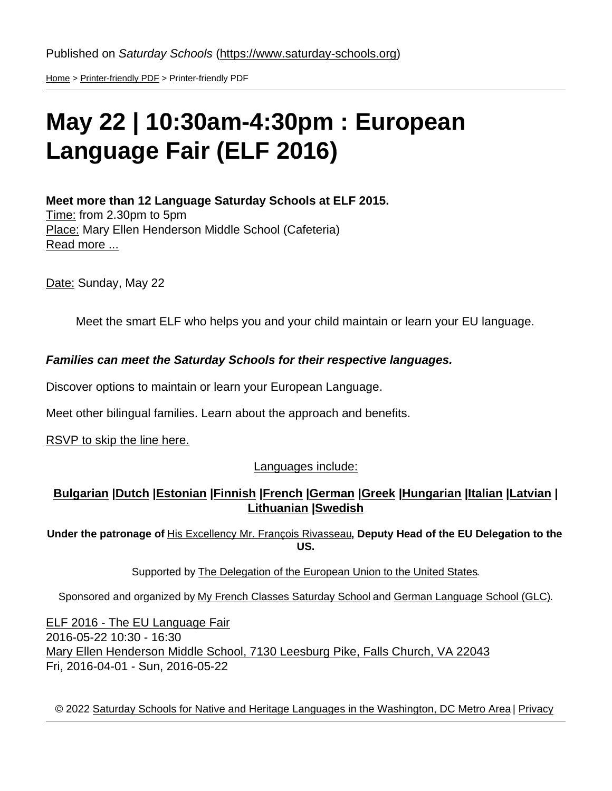[Home](https://www.saturday-schools.org/) > [Printer-friendly PDF](https://www.saturday-schools.org/printpdf) > Printer-friendly PDF

## May 22 | 10:30am-4:30pm : European Language Fair (ELF 2016)

Meet more than 12 Language Saturday Schools at ELF 2015. Time: from 2.30pm to 5pm Place: Mary Ellen Henderson Middle School (Cafeteria) [Read more ...](https://www.saturday-schools.org/eu-language-fair)

Date: Sunday, May 22

Meet the smart ELF who helps you and your child maintain or learn your EU language.

Families can meet the Saturday Schools for their respective languages.

Discover options to maintain or learn your European Language.

Meet other bilingual families. Learn about the approach and benefits.

[RSVP to skip the line here.](https://www.saturday-schools.org/go/elf/rsvp)

Languages include:

[Bulgarian](http://www.saturday-schools.org/school/bulgarian) | [Dutch](http://www.saturday-schools.org/school/dutch) | [Estonian](http://www.saturday-schools.org/school/estonian) | [Finnish](http://www.saturday-schools.org/school/finnish) | [French](http://www.saturday-schools.org/school/french) | [German](http://www.saturday-schools.org/school/german) | [Greek](https://www.saturday-schools.org/school/greek) | Hungarian | Italian | [Latvian](http://www.saturday-schools.org/school/latvian) | [Lithuanian](http://www.saturday-schools.org/school/lithuanian) [|Swedish](http://www.saturday-schools.org/school/swedish)

Under the patronage of [His Excellency Mr. François Rivasseau,](http://www.euintheus.org/who-we-are/meet-our-staff/headdeputy-head-of-delegation/biography-francois-rivasseau/) Deputy Head of the EU Delegation to the US.

Supported by [The Delegation of the European Union to the United States](http://www.euintheus.org/).

Sponsored and organized by [My French Classes Saturday School](http://myfrenchclasses.org/) and [German Language School \(GLC\).](http://www.dswashington.org/glc)

[ELF 2016 - The EU Language Fair](http://www.saturday-schools.org/european-family-fair) 2016-05-22 10:30 - 16:30 [Mary Ellen Henderson Middle School, 7130 Leesburg Pike, Falls Church, VA 22043](https://www.saturday-schools.org/european-family-fair) Fri, 2016-04-01 - Sun, 2016-05-22

© 2022 [Saturday Schools for Native and Heritage Languages in the Washington, DC Metro Area](https://www.saturday-schools.org/about) | [Privacy](https://www.saturday-schools.org/about/privacy)